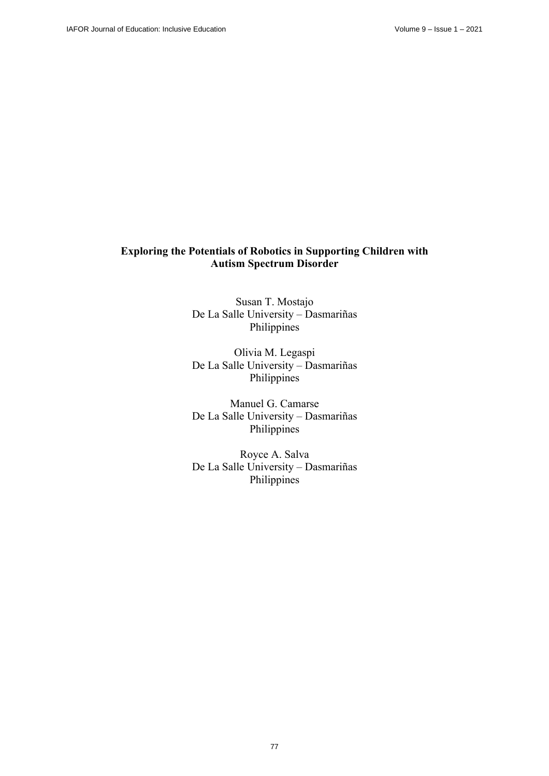# **Exploring the Potentials of Robotics in Supporting Children with Autism Spectrum Disorder**

Susan T. Mostajo De La Salle University – Dasmariñas Philippines

Olivia M. Legaspi De La Salle University – Dasmariñas Philippines

Manuel G. Camarse De La Salle University – Dasmariñas Philippines

Royce A. Salva De La Salle University – Dasmariñas Philippines

77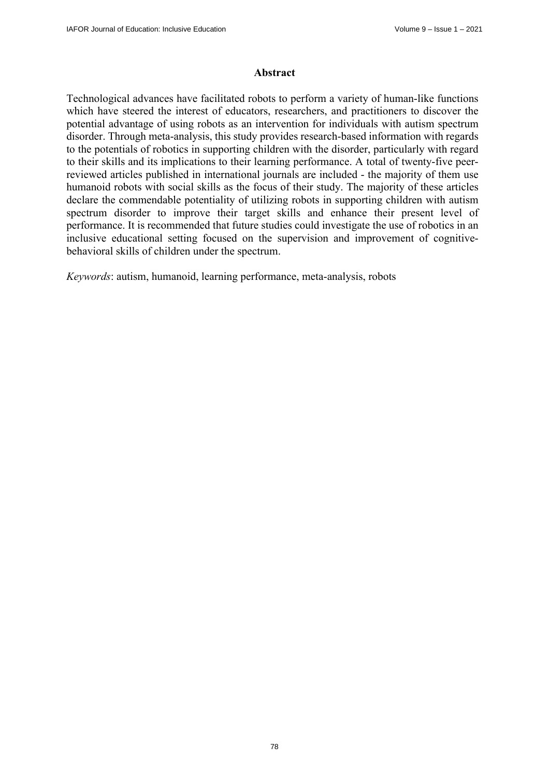### **Abstract**

Technological advances have facilitated robots to perform a variety of human-like functions which have steered the interest of educators, researchers, and practitioners to discover the potential advantage of using robots as an intervention for individuals with autism spectrum disorder. Through meta-analysis, this study provides research-based information with regards to the potentials of robotics in supporting children with the disorder, particularly with regard to their skills and its implications to their learning performance. A total of twenty-five peerreviewed articles published in international journals are included - the majority of them use humanoid robots with social skills as the focus of their study. The majority of these articles declare the commendable potentiality of utilizing robots in supporting children with autism spectrum disorder to improve their target skills and enhance their present level of performance. It is recommended that future studies could investigate the use of robotics in an inclusive educational setting focused on the supervision and improvement of cognitivebehavioral skills of children under the spectrum.

*Keywords*: autism, humanoid, learning performance, meta-analysis, robots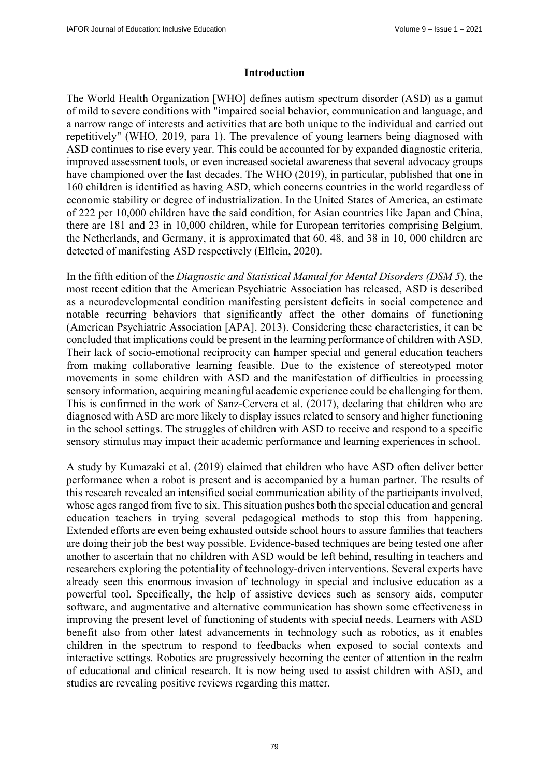#### **Introduction**

The World Health Organization [WHO] defines autism spectrum disorder (ASD) as a gamut of mild to severe conditions with "impaired social behavior, communication and language, and a narrow range of interests and activities that are both unique to the individual and carried out repetitively" (WHO, 2019, para 1). The prevalence of young learners being diagnosed with ASD continues to rise every year. This could be accounted for by expanded diagnostic criteria, improved assessment tools, or even increased societal awareness that several advocacy groups have championed over the last decades. The WHO (2019), in particular, published that one in 160 children is identified as having ASD, which concerns countries in the world regardless of economic stability or degree of industrialization. In the United States of America, an estimate of 222 per 10,000 children have the said condition, for Asian countries like Japan and China, there are 181 and 23 in 10,000 children, while for European territories comprising Belgium, the Netherlands, and Germany, it is approximated that 60, 48, and 38 in 10, 000 children are detected of manifesting ASD respectively (Elflein, 2020).

In the fifth edition of the *Diagnostic and Statistical Manual for Mental Disorders (DSM 5*), the most recent edition that the American Psychiatric Association has released, ASD is described as a neurodevelopmental condition manifesting persistent deficits in social competence and notable recurring behaviors that significantly affect the other domains of functioning (American Psychiatric Association [APA], 2013). Considering these characteristics, it can be concluded that implications could be present in the learning performance of children with ASD. Their lack of socio-emotional reciprocity can hamper special and general education teachers from making collaborative learning feasible. Due to the existence of stereotyped motor movements in some children with ASD and the manifestation of difficulties in processing sensory information, acquiring meaningful academic experience could be challenging for them. This is confirmed in the work of Sanz-Cervera et al. (2017), declaring that children who are diagnosed with ASD are more likely to display issues related to sensory and higher functioning in the school settings. The struggles of children with ASD to receive and respond to a specific sensory stimulus may impact their academic performance and learning experiences in school.

A study by Kumazaki et al. (2019) claimed that children who have ASD often deliver better performance when a robot is present and is accompanied by a human partner. The results of this research revealed an intensified social communication ability of the participants involved, whose ages ranged from five to six. This situation pushes both the special education and general education teachers in trying several pedagogical methods to stop this from happening. Extended efforts are even being exhausted outside school hours to assure families that teachers are doing their job the best way possible. Evidence-based techniques are being tested one after another to ascertain that no children with ASD would be left behind, resulting in teachers and researchers exploring the potentiality of technology-driven interventions. Several experts have already seen this enormous invasion of technology in special and inclusive education as a powerful tool. Specifically, the help of assistive devices such as sensory aids, computer software, and augmentative and alternative communication has shown some effectiveness in improving the present level of functioning of students with special needs. Learners with ASD benefit also from other latest advancements in technology such as robotics, as it enables children in the spectrum to respond to feedbacks when exposed to social contexts and interactive settings. Robotics are progressively becoming the center of attention in the realm of educational and clinical research. It is now being used to assist children with ASD, and studies are revealing positive reviews regarding this matter.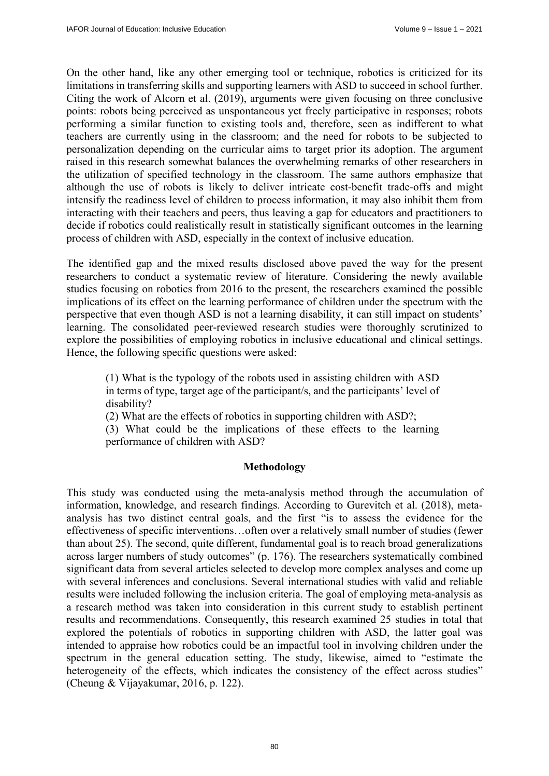On the other hand, like any other emerging tool or technique, robotics is criticized for its limitations in transferring skills and supporting learners with ASD to succeed in school further. Citing the work of Alcorn et al. (2019), arguments were given focusing on three conclusive points: robots being perceived as unspontaneous yet freely participative in responses; robots performing a similar function to existing tools and, therefore, seen as indifferent to what teachers are currently using in the classroom; and the need for robots to be subjected to personalization depending on the curricular aims to target prior its adoption. The argument raised in this research somewhat balances the overwhelming remarks of other researchers in the utilization of specified technology in the classroom. The same authors emphasize that although the use of robots is likely to deliver intricate cost-benefit trade-offs and might intensify the readiness level of children to process information, it may also inhibit them from interacting with their teachers and peers, thus leaving a gap for educators and practitioners to decide if robotics could realistically result in statistically significant outcomes in the learning process of children with ASD, especially in the context of inclusive education.

The identified gap and the mixed results disclosed above paved the way for the present researchers to conduct a systematic review of literature. Considering the newly available studies focusing on robotics from 2016 to the present, the researchers examined the possible implications of its effect on the learning performance of children under the spectrum with the perspective that even though ASD is not a learning disability, it can still impact on students' learning. The consolidated peer-reviewed research studies were thoroughly scrutinized to explore the possibilities of employing robotics in inclusive educational and clinical settings. Hence, the following specific questions were asked:

(1) What is the typology of the robots used in assisting children with ASD in terms of type, target age of the participant/s, and the participants' level of disability?

(2) What are the effects of robotics in supporting children with ASD?;

(3) What could be the implications of these effects to the learning performance of children with ASD?

#### **Methodology**

This study was conducted using the meta-analysis method through the accumulation of information, knowledge, and research findings. According to Gurevitch et al. (2018), metaanalysis has two distinct central goals, and the first "is to assess the evidence for the effectiveness of specific interventions…often over a relatively small number of studies (fewer than about 25). The second, quite different, fundamental goal is to reach broad generalizations across larger numbers of study outcomes" (p. 176). The researchers systematically combined significant data from several articles selected to develop more complex analyses and come up with several inferences and conclusions. Several international studies with valid and reliable results were included following the inclusion criteria. The goal of employing meta-analysis as a research method was taken into consideration in this current study to establish pertinent results and recommendations. Consequently, this research examined 25 studies in total that explored the potentials of robotics in supporting children with ASD, the latter goal was intended to appraise how robotics could be an impactful tool in involving children under the spectrum in the general education setting. The study, likewise, aimed to "estimate the heterogeneity of the effects, which indicates the consistency of the effect across studies" (Cheung & Vijayakumar, 2016, p. 122).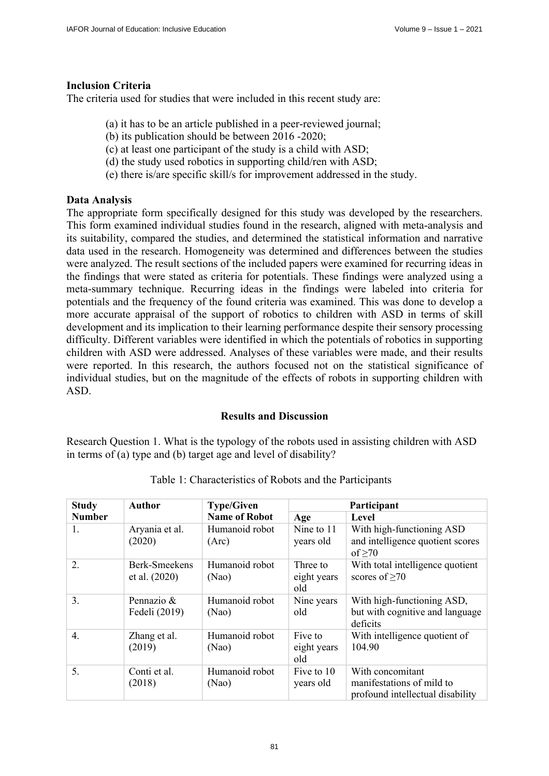## **Inclusion Criteria**

The criteria used for studies that were included in this recent study are:

- (a) it has to be an article published in a peer-reviewed journal;
- (b) its publication should be between 2016 -2020;
- (c) at least one participant of the study is a child with ASD;
- (d) the study used robotics in supporting child/ren with ASD;
- (e) there is/are specific skill/s for improvement addressed in the study.

### **Data Analysis**

The appropriate form specifically designed for this study was developed by the researchers. This form examined individual studies found in the research, aligned with meta-analysis and its suitability, compared the studies, and determined the statistical information and narrative data used in the research. Homogeneity was determined and differences between the studies were analyzed. The result sections of the included papers were examined for recurring ideas in the findings that were stated as criteria for potentials. These findings were analyzed using a meta-summary technique. Recurring ideas in the findings were labeled into criteria for potentials and the frequency of the found criteria was examined. This was done to develop a more accurate appraisal of the support of robotics to children with ASD in terms of skill development and its implication to their learning performance despite their sensory processing difficulty. Different variables were identified in which the potentials of robotics in supporting children with ASD were addressed. Analyses of these variables were made, and their results were reported. In this research, the authors focused not on the statistical significance of individual studies, but on the magnitude of the effects of robots in supporting children with ASD.

# **Results and Discussion**

Research Question 1. What is the typology of the robots used in assisting children with ASD in terms of (a) type and (b) target age and level of disability?

| <b>Study</b>     | <b>Author</b>                  | <b>Type/Given</b><br>Participant |                                |                                                                                   |
|------------------|--------------------------------|----------------------------------|--------------------------------|-----------------------------------------------------------------------------------|
| <b>Number</b>    |                                | <b>Name of Robot</b>             | Age                            | Level                                                                             |
| 1.               | Aryania et al.<br>(2020)       | Humanoid robot<br>(Arc)          | Nine to 11<br>years old        | With high-functioning ASD<br>and intelligence quotient scores<br>of $\geq 70$     |
| 2.               | Berk-Smeekens<br>et al. (2020) | Humanoid robot<br>(Nao)          | Three to<br>eight years<br>old | With total intelligence quotient<br>scores of $\geq 70$                           |
| 3.               | Pennazio $\&$<br>Fedeli (2019) | Humanoid robot<br>(Nao)          | Nine years<br>old              | With high-functioning ASD,<br>but with cognitive and language<br>deficits         |
| $\overline{4}$ . | Zhang et al.<br>(2019)         | Humanoid robot<br>(Nao)          | Five to<br>eight years<br>old  | With intelligence quotient of<br>104.90                                           |
| 5.               | Conti et al.<br>(2018)         | Humanoid robot<br>(Nao)          | Five to 10<br>years old        | With concomitant<br>manifestations of mild to<br>profound intellectual disability |

Table 1: Characteristics of Robots and the Participants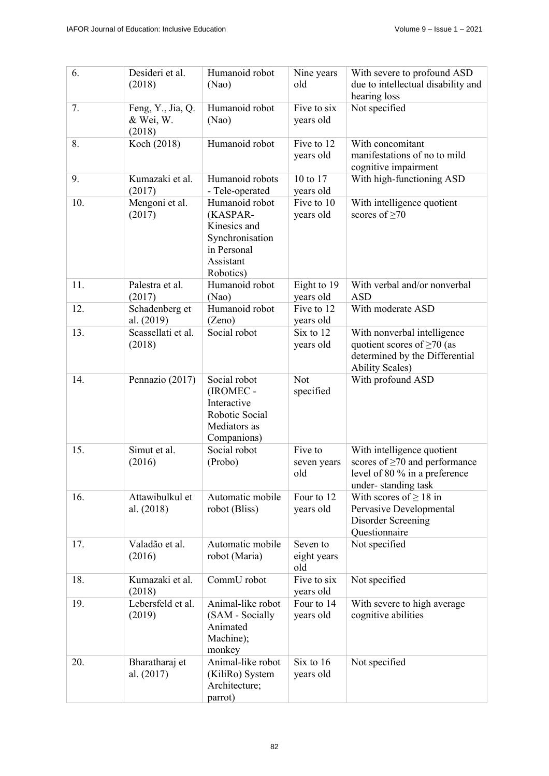| 6.  | Desideri et al.<br>(2018)                | Humanoid robot<br>(Nao)                                                                                | Nine years<br>old              | With severe to profound ASD<br>due to intellectual disability and<br>hearing loss                                           |
|-----|------------------------------------------|--------------------------------------------------------------------------------------------------------|--------------------------------|-----------------------------------------------------------------------------------------------------------------------------|
| 7.  | Feng, Y., Jia, Q.<br>& Wei, W.<br>(2018) | Humanoid robot<br>(Nao)                                                                                | Five to six<br>years old       | Not specified                                                                                                               |
| 8.  | Koch (2018)                              | Humanoid robot                                                                                         | Five to 12<br>years old        | With concomitant<br>manifestations of no to mild<br>cognitive impairment                                                    |
| 9.  | Kumazaki et al.<br>(2017)                | Humanoid robots<br>- Tele-operated                                                                     | 10 to 17<br>years old          | With high-functioning ASD                                                                                                   |
| 10. | Mengoni et al.<br>(2017)                 | Humanoid robot<br>(KASPAR-<br>Kinesics and<br>Synchronisation<br>in Personal<br>Assistant<br>Robotics) | Five to 10<br>years old        | With intelligence quotient<br>scores of $\geq 70$                                                                           |
| 11. | Palestra et al.<br>(2017)                | Humanoid robot<br>(Nao)                                                                                | Eight to 19<br>years old       | With verbal and/or nonverbal<br><b>ASD</b>                                                                                  |
| 12. | Schadenberg et<br>al. (2019)             | Humanoid robot<br>(Zeno)                                                                               | Five to 12<br>years old        | With moderate ASD                                                                                                           |
| 13. | Scassellati et al.<br>(2018)             | Social robot                                                                                           | Six to 12<br>years old         | With nonverbal intelligence<br>quotient scores of $\geq$ 70 (as<br>determined by the Differential<br><b>Ability Scales)</b> |
| 14. | Pennazio (2017)                          | Social robot<br>(IROMEC -<br>Interactive<br>Robotic Social<br>Mediators as<br>Companions)              | Not<br>specified               | With profound ASD                                                                                                           |
| 15. | Simut et al.<br>(2016)                   | Social robot<br>(Probo)                                                                                | Five to<br>seven years<br>old  | With intelligence quotient<br>scores of $\geq$ 70 and performance<br>level of 80 % in a preference<br>under-standing task   |
| 16. | Attawibulkul et<br>al. $(2018)$          | Automatic mobile<br>robot (Bliss)                                                                      | Four to 12<br>years old        | With scores of $\geq 18$ in<br>Pervasive Developmental<br>Disorder Screening<br>Questionnaire                               |
| 17. | Valadão et al.<br>(2016)                 | Automatic mobile<br>robot (Maria)                                                                      | Seven to<br>eight years<br>old | Not specified                                                                                                               |
| 18. | Kumazaki et al.<br>(2018)                | CommU robot                                                                                            | Five to six<br>years old       | Not specified                                                                                                               |
| 19. | Lebersfeld et al.<br>(2019)              | Animal-like robot<br>(SAM - Socially<br>Animated<br>Machine);<br>monkey                                | Four to 14<br>years old        | With severe to high average<br>cognitive abilities                                                                          |
| 20. | Bharatharaj et<br>al. $(2017)$           | Animal-like robot<br>(KiliRo) System<br>Architecture;<br>parrot)                                       | Six to 16<br>years old         | Not specified                                                                                                               |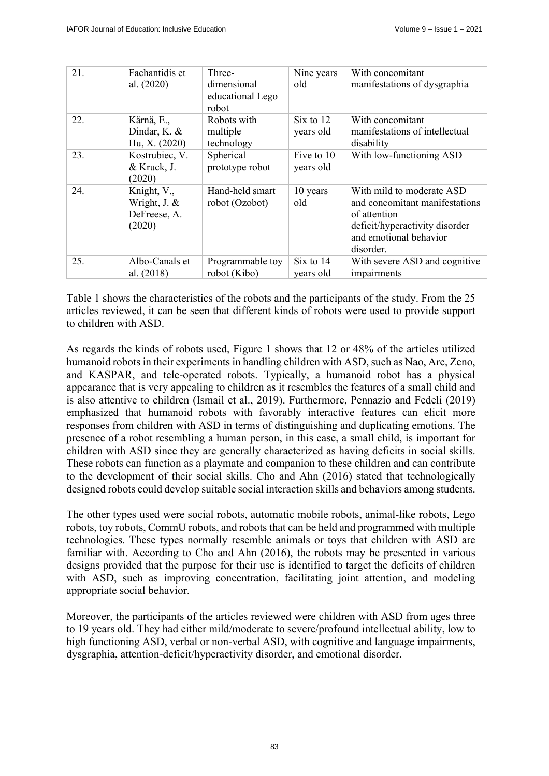| 21. | Fachantidis et<br>al. $(2020)$                        | Three-<br>dimensional<br>educational Lego<br>robot | Nine years<br>old       | With concomitant<br>manifestations of dysgraphia                                                                                                     |
|-----|-------------------------------------------------------|----------------------------------------------------|-------------------------|------------------------------------------------------------------------------------------------------------------------------------------------------|
| 22. | Kärnä, E.,<br>Dindar, K. &<br>Hu, X. (2020)           | Robots with<br>multiple<br>technology              | Six to 12<br>years old  | With concomitant<br>manifestations of intellectual<br>disability                                                                                     |
| 23. | Kostrubiec, V.<br>& Kruck, J.<br>(2020)               | Spherical<br>prototype robot                       | Five to 10<br>years old | With low-functioning ASD                                                                                                                             |
| 24. | Knight, V.,<br>Wright, J. &<br>DeFreese, A.<br>(2020) | Hand-held smart<br>robot (Ozobot)                  | 10 years<br>old         | With mild to moderate ASD<br>and concomitant manifestations<br>of attention<br>deficit/hyperactivity disorder<br>and emotional behavior<br>disorder. |
| 25. | Albo-Canals et<br>al. (2018)                          | Programmable toy<br>robot (Kibo)                   | Six to 14<br>years old  | With severe ASD and cognitive<br>impairments                                                                                                         |

Table 1 shows the characteristics of the robots and the participants of the study. From the 25 articles reviewed, it can be seen that different kinds of robots were used to provide support to children with ASD.

As regards the kinds of robots used, Figure 1 shows that 12 or 48% of the articles utilized humanoid robots in their experiments in handling children with ASD, such as Nao, Arc, Zeno, and KASPAR, and tele-operated robots. Typically, a humanoid robot has a physical appearance that is very appealing to children as it resembles the features of a small child and is also attentive to children (Ismail et al., 2019). Furthermore, Pennazio and Fedeli (2019) emphasized that humanoid robots with favorably interactive features can elicit more responses from children with ASD in terms of distinguishing and duplicating emotions. The presence of a robot resembling a human person, in this case, a small child, is important for children with ASD since they are generally characterized as having deficits in social skills. These robots can function as a playmate and companion to these children and can contribute to the development of their social skills. Cho and Ahn (2016) stated that technologically designed robots could develop suitable social interaction skills and behaviors among students.

The other types used were social robots, automatic mobile robots, animal-like robots, Lego robots, toy robots, CommU robots, and robots that can be held and programmed with multiple technologies. These types normally resemble animals or toys that children with ASD are familiar with. According to Cho and Ahn (2016), the robots may be presented in various designs provided that the purpose for their use is identified to target the deficits of children with ASD, such as improving concentration, facilitating joint attention, and modeling appropriate social behavior.

Moreover, the participants of the articles reviewed were children with ASD from ages three to 19 years old. They had either mild/moderate to severe/profound intellectual ability, low to high functioning ASD, verbal or non-verbal ASD, with cognitive and language impairments, dysgraphia, attention-deficit/hyperactivity disorder, and emotional disorder.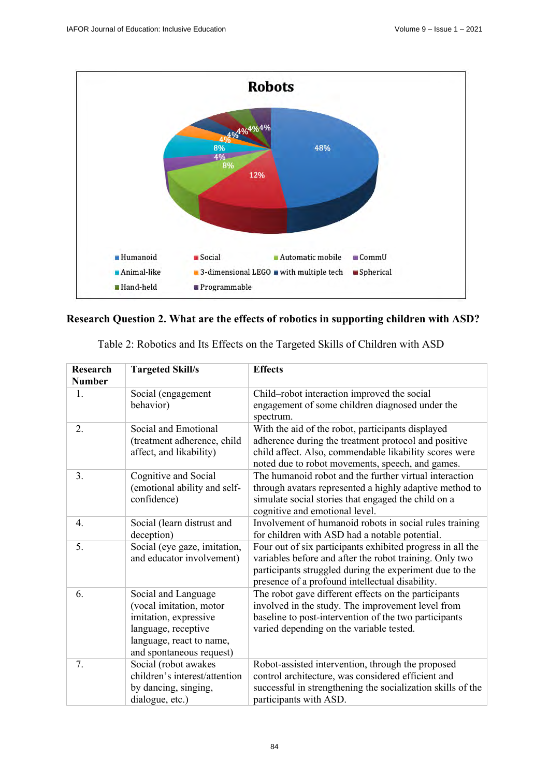

# **Research Question 2. What are the effects of robotics in supporting children with ASD?**

| <b>Research</b><br><b>Number</b> | <b>Targeted Skill/s</b>                                                                                                                                | <b>Effects</b>                                                                                                                                                                                                                      |
|----------------------------------|--------------------------------------------------------------------------------------------------------------------------------------------------------|-------------------------------------------------------------------------------------------------------------------------------------------------------------------------------------------------------------------------------------|
| 1.                               | Social (engagement<br>behavior)                                                                                                                        | Child-robot interaction improved the social<br>engagement of some children diagnosed under the<br>spectrum.                                                                                                                         |
| 2.                               | Social and Emotional<br>(treatment adherence, child<br>affect, and likability)                                                                         | With the aid of the robot, participants displayed<br>adherence during the treatment protocol and positive<br>child affect. Also, commendable likability scores were<br>noted due to robot movements, speech, and games.             |
| 3.                               | Cognitive and Social<br>(emotional ability and self-<br>confidence)                                                                                    | The humanoid robot and the further virtual interaction<br>through avatars represented a highly adaptive method to<br>simulate social stories that engaged the child on a<br>cognitive and emotional level.                          |
| 4.                               | Social (learn distrust and<br>deception)                                                                                                               | Involvement of humanoid robots in social rules training<br>for children with ASD had a notable potential.                                                                                                                           |
| 5.                               | Social (eye gaze, imitation,<br>and educator involvement)                                                                                              | Four out of six participants exhibited progress in all the<br>variables before and after the robot training. Only two<br>participants struggled during the experiment due to the<br>presence of a profound intellectual disability. |
| 6.                               | Social and Language<br>(vocal imitation, motor<br>imitation, expressive<br>language, receptive<br>language, react to name,<br>and spontaneous request) | The robot gave different effects on the participants<br>involved in the study. The improvement level from<br>baseline to post-intervention of the two participants<br>varied depending on the variable tested.                      |
| 7.                               | Social (robot awakes<br>children's interest/attention<br>by dancing, singing,<br>dialogue, etc.)                                                       | Robot-assisted intervention, through the proposed<br>control architecture, was considered efficient and<br>successful in strengthening the socialization skills of the<br>participants with ASD.                                    |

Table 2: Robotics and Its Effects on the Targeted Skills of Children with ASD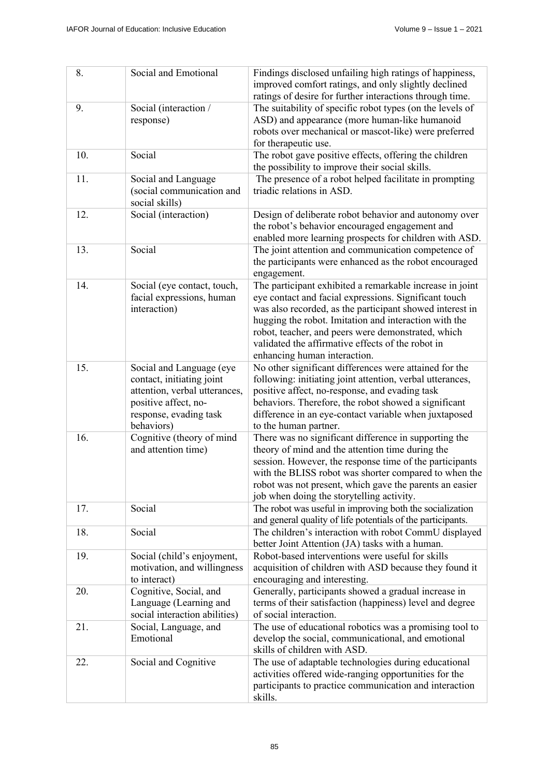| 8.  | Social and Emotional                                                                                                                                   | Findings disclosed unfailing high ratings of happiness,<br>improved comfort ratings, and only slightly declined<br>ratings of desire for further interactions through time.                                                                                                                                                                                                       |
|-----|--------------------------------------------------------------------------------------------------------------------------------------------------------|-----------------------------------------------------------------------------------------------------------------------------------------------------------------------------------------------------------------------------------------------------------------------------------------------------------------------------------------------------------------------------------|
| 9.  | Social (interaction /<br>response)                                                                                                                     | The suitability of specific robot types (on the levels of<br>ASD) and appearance (more human-like humanoid<br>robots over mechanical or mascot-like) were preferred<br>for therapeutic use.                                                                                                                                                                                       |
| 10. | Social                                                                                                                                                 | The robot gave positive effects, offering the children<br>the possibility to improve their social skills.                                                                                                                                                                                                                                                                         |
| 11. | Social and Language<br>(social communication and<br>social skills)                                                                                     | The presence of a robot helped facilitate in prompting<br>triadic relations in ASD.                                                                                                                                                                                                                                                                                               |
| 12. | Social (interaction)                                                                                                                                   | Design of deliberate robot behavior and autonomy over<br>the robot's behavior encouraged engagement and<br>enabled more learning prospects for children with ASD.                                                                                                                                                                                                                 |
| 13. | Social                                                                                                                                                 | The joint attention and communication competence of<br>the participants were enhanced as the robot encouraged<br>engagement.                                                                                                                                                                                                                                                      |
| 14. | Social (eye contact, touch,<br>facial expressions, human<br>interaction)                                                                               | The participant exhibited a remarkable increase in joint<br>eye contact and facial expressions. Significant touch<br>was also recorded, as the participant showed interest in<br>hugging the robot. Imitation and interaction with the<br>robot, teacher, and peers were demonstrated, which<br>validated the affirmative effects of the robot in<br>enhancing human interaction. |
| 15. | Social and Language (eye<br>contact, initiating joint<br>attention, verbal utterances,<br>positive affect, no-<br>response, evading task<br>behaviors) | No other significant differences were attained for the<br>following: initiating joint attention, verbal utterances,<br>positive affect, no-response, and evading task<br>behaviors. Therefore, the robot showed a significant<br>difference in an eye-contact variable when juxtaposed<br>to the human partner.                                                                   |
| 16. | Cognitive (theory of mind<br>and attention time)                                                                                                       | There was no significant difference in supporting the<br>theory of mind and the attention time during the<br>session. However, the response time of the participants<br>with the BLISS robot was shorter compared to when the<br>robot was not present, which gave the parents an easier<br>job when doing the storytelling activity.                                             |
| 17. | Social                                                                                                                                                 | The robot was useful in improving both the socialization<br>and general quality of life potentials of the participants.                                                                                                                                                                                                                                                           |
| 18. | Social                                                                                                                                                 | The children's interaction with robot CommU displayed<br>better Joint Attention (JA) tasks with a human.                                                                                                                                                                                                                                                                          |
| 19. | Social (child's enjoyment,<br>motivation, and willingness<br>to interact)                                                                              | Robot-based interventions were useful for skills<br>acquisition of children with ASD because they found it<br>encouraging and interesting.                                                                                                                                                                                                                                        |
| 20. | Cognitive, Social, and<br>Language (Learning and<br>social interaction abilities)                                                                      | Generally, participants showed a gradual increase in<br>terms of their satisfaction (happiness) level and degree<br>of social interaction.                                                                                                                                                                                                                                        |
| 21. | Social, Language, and<br>Emotional                                                                                                                     | The use of educational robotics was a promising tool to<br>develop the social, communicational, and emotional<br>skills of children with ASD.                                                                                                                                                                                                                                     |
| 22. | Social and Cognitive                                                                                                                                   | The use of adaptable technologies during educational<br>activities offered wide-ranging opportunities for the<br>participants to practice communication and interaction<br>skills.                                                                                                                                                                                                |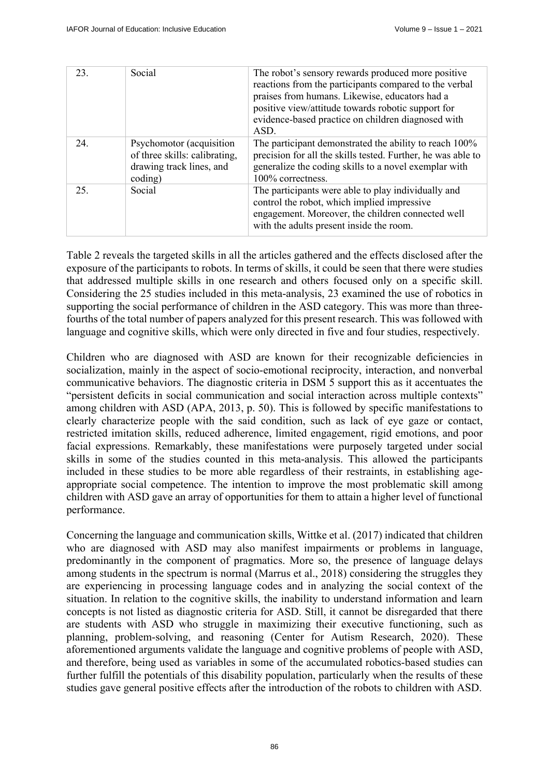| 23. | Social                                                                                           | The robot's sensory rewards produced more positive<br>reactions from the participants compared to the verbal<br>praises from humans. Likewise, educators had a<br>positive view/attitude towards robotic support for<br>evidence-based practice on children diagnosed with<br>ASD. |
|-----|--------------------------------------------------------------------------------------------------|------------------------------------------------------------------------------------------------------------------------------------------------------------------------------------------------------------------------------------------------------------------------------------|
| 24. | Psychomotor (acquisition<br>of three skills: calibrating,<br>drawing track lines, and<br>coding) | The participant demonstrated the ability to reach 100%<br>precision for all the skills tested. Further, he was able to<br>generalize the coding skills to a novel exemplar with<br>100% correctness.                                                                               |
| 25. | Social                                                                                           | The participants were able to play individually and<br>control the robot, which implied impressive<br>engagement. Moreover, the children connected well<br>with the adults present inside the room.                                                                                |

Table 2 reveals the targeted skills in all the articles gathered and the effects disclosed after the exposure of the participants to robots. In terms of skills, it could be seen that there were studies that addressed multiple skills in one research and others focused only on a specific skill. Considering the 25 studies included in this meta-analysis, 23 examined the use of robotics in supporting the social performance of children in the ASD category. This was more than threefourths of the total number of papers analyzed for this present research. This was followed with language and cognitive skills, which were only directed in five and four studies, respectively.

Children who are diagnosed with ASD are known for their recognizable deficiencies in socialization, mainly in the aspect of socio-emotional reciprocity, interaction, and nonverbal communicative behaviors. The diagnostic criteria in DSM 5 support this as it accentuates the "persistent deficits in social communication and social interaction across multiple contexts" among children with ASD (APA, 2013, p. 50). This is followed by specific manifestations to clearly characterize people with the said condition, such as lack of eye gaze or contact, restricted imitation skills, reduced adherence, limited engagement, rigid emotions, and poor facial expressions. Remarkably, these manifestations were purposely targeted under social skills in some of the studies counted in this meta-analysis. This allowed the participants included in these studies to be more able regardless of their restraints, in establishing ageappropriate social competence. The intention to improve the most problematic skill among children with ASD gave an array of opportunities for them to attain a higher level of functional performance.

Concerning the language and communication skills, Wittke et al. (2017) indicated that children who are diagnosed with ASD may also manifest impairments or problems in language, predominantly in the component of pragmatics. More so, the presence of language delays among students in the spectrum is normal (Marrus et al., 2018) considering the struggles they are experiencing in processing language codes and in analyzing the social context of the situation. In relation to the cognitive skills, the inability to understand information and learn concepts is not listed as diagnostic criteria for ASD. Still, it cannot be disregarded that there are students with ASD who struggle in maximizing their executive functioning, such as planning, problem-solving, and reasoning (Center for Autism Research, 2020). These aforementioned arguments validate the language and cognitive problems of people with ASD, and therefore, being used as variables in some of the accumulated robotics-based studies can further fulfill the potentials of this disability population, particularly when the results of these studies gave general positive effects after the introduction of the robots to children with ASD.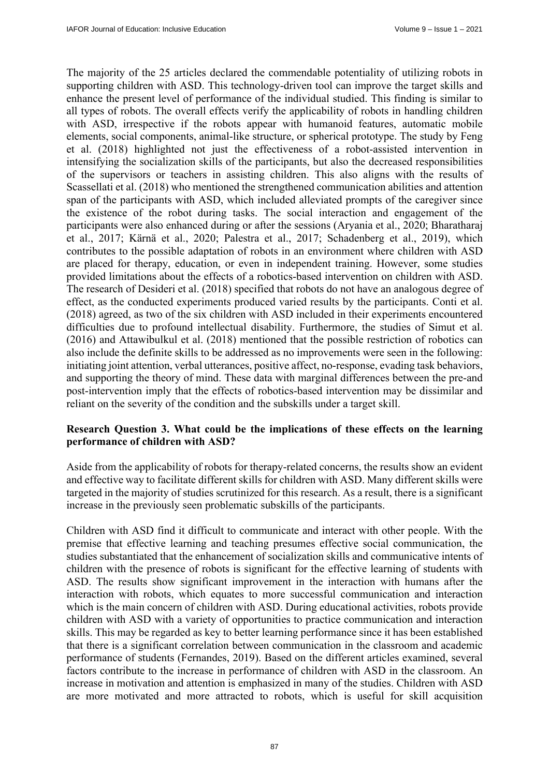The majority of the 25 articles declared the commendable potentiality of utilizing robots in supporting children with ASD. This technology-driven tool can improve the target skills and enhance the present level of performance of the individual studied. This finding is similar to all types of robots. The overall effects verify the applicability of robots in handling children with ASD, irrespective if the robots appear with humanoid features, automatic mobile elements, social components, animal-like structure, or spherical prototype. The study by Feng et al. (2018) highlighted not just the effectiveness of a robot-assisted intervention in intensifying the socialization skills of the participants, but also the decreased responsibilities of the supervisors or teachers in assisting children. This also aligns with the results of Scassellati et al. (2018) who mentioned the strengthened communication abilities and attention span of the participants with ASD, which included alleviated prompts of the caregiver since the existence of the robot during tasks. The social interaction and engagement of the participants were also enhanced during or after the sessions (Aryania et al., 2020; Bharatharaj et al., 2017; Kärnä et al., 2020; Palestra et al., 2017; Schadenberg et al., 2019), which contributes to the possible adaptation of robots in an environment where children with ASD are placed for therapy, education, or even in independent training. However, some studies provided limitations about the effects of a robotics-based intervention on children with ASD. The research of Desideri et al. (2018) specified that robots do not have an analogous degree of effect, as the conducted experiments produced varied results by the participants. Conti et al. (2018) agreed, as two of the six children with ASD included in their experiments encountered difficulties due to profound intellectual disability. Furthermore, the studies of Simut et al. (2016) and Attawibulkul et al. (2018) mentioned that the possible restriction of robotics can also include the definite skills to be addressed as no improvements were seen in the following: initiating joint attention, verbal utterances, positive affect, no-response, evading task behaviors, and supporting the theory of mind. These data with marginal differences between the pre-and post-intervention imply that the effects of robotics-based intervention may be dissimilar and reliant on the severity of the condition and the subskills under a target skill.

# **Research Question 3. What could be the implications of these effects on the learning performance of children with ASD?**

Aside from the applicability of robots for therapy-related concerns, the results show an evident and effective way to facilitate different skills for children with ASD. Many different skills were targeted in the majority of studies scrutinized for this research. As a result, there is a significant increase in the previously seen problematic subskills of the participants.

Children with ASD find it difficult to communicate and interact with other people. With the premise that effective learning and teaching presumes effective social communication, the studies substantiated that the enhancement of socialization skills and communicative intents of children with the presence of robots is significant for the effective learning of students with ASD. The results show significant improvement in the interaction with humans after the interaction with robots, which equates to more successful communication and interaction which is the main concern of children with ASD. During educational activities, robots provide children with ASD with a variety of opportunities to practice communication and interaction skills. This may be regarded as key to better learning performance since it has been established that there is a significant correlation between communication in the classroom and academic performance of students (Fernandes, 2019). Based on the different articles examined, several factors contribute to the increase in performance of children with ASD in the classroom. An increase in motivation and attention is emphasized in many of the studies. Children with ASD are more motivated and more attracted to robots, which is useful for skill acquisition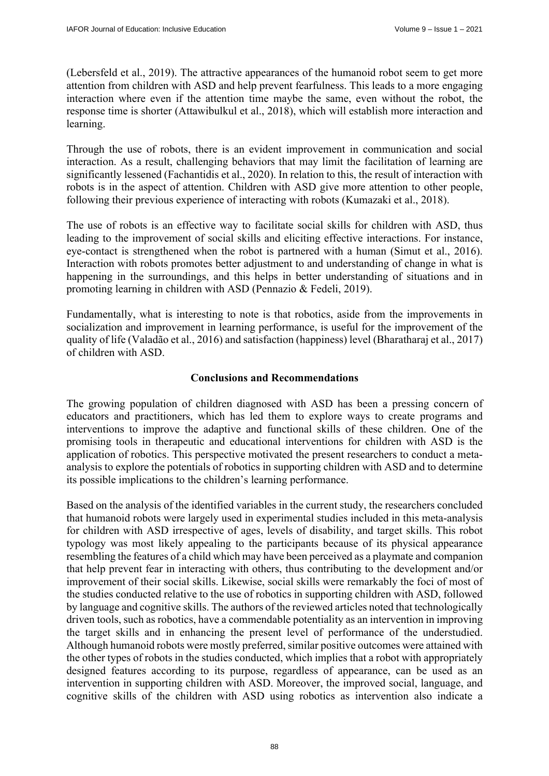(Lebersfeld et al., 2019). The attractive appearances of the humanoid robot seem to get more attention from children with ASD and help prevent fearfulness. This leads to a more engaging interaction where even if the attention time maybe the same, even without the robot, the response time is shorter (Attawibulkul et al., 2018), which will establish more interaction and learning.

Through the use of robots, there is an evident improvement in communication and social interaction. As a result, challenging behaviors that may limit the facilitation of learning are significantly lessened (Fachantidis et al., 2020). In relation to this, the result of interaction with robots is in the aspect of attention. Children with ASD give more attention to other people, following their previous experience of interacting with robots (Kumazaki et al., 2018).

The use of robots is an effective way to facilitate social skills for children with ASD, thus leading to the improvement of social skills and eliciting effective interactions. For instance, eye-contact is strengthened when the robot is partnered with a human (Simut et al., 2016). Interaction with robots promotes better adjustment to and understanding of change in what is happening in the surroundings, and this helps in better understanding of situations and in promoting learning in children with ASD (Pennazio & Fedeli, 2019).

Fundamentally, what is interesting to note is that robotics, aside from the improvements in socialization and improvement in learning performance, is useful for the improvement of the quality of life (Valadão et al., 2016) and satisfaction (happiness) level (Bharatharaj et al., 2017) of children with ASD.

# **Conclusions and Recommendations**

The growing population of children diagnosed with ASD has been a pressing concern of educators and practitioners, which has led them to explore ways to create programs and interventions to improve the adaptive and functional skills of these children. One of the promising tools in therapeutic and educational interventions for children with ASD is the application of robotics. This perspective motivated the present researchers to conduct a metaanalysis to explore the potentials of robotics in supporting children with ASD and to determine its possible implications to the children's learning performance.

Based on the analysis of the identified variables in the current study, the researchers concluded that humanoid robots were largely used in experimental studies included in this meta-analysis for children with ASD irrespective of ages, levels of disability, and target skills. This robot typology was most likely appealing to the participants because of its physical appearance resembling the features of a child which may have been perceived as a playmate and companion that help prevent fear in interacting with others, thus contributing to the development and/or improvement of their social skills. Likewise, social skills were remarkably the foci of most of the studies conducted relative to the use of robotics in supporting children with ASD, followed by language and cognitive skills. The authors of the reviewed articles noted that technologically driven tools, such as robotics, have a commendable potentiality as an intervention in improving the target skills and in enhancing the present level of performance of the understudied. Although humanoid robots were mostly preferred, similar positive outcomes were attained with the other types of robots in the studies conducted, which implies that a robot with appropriately designed features according to its purpose, regardless of appearance, can be used as an intervention in supporting children with ASD. Moreover, the improved social, language, and cognitive skills of the children with ASD using robotics as intervention also indicate a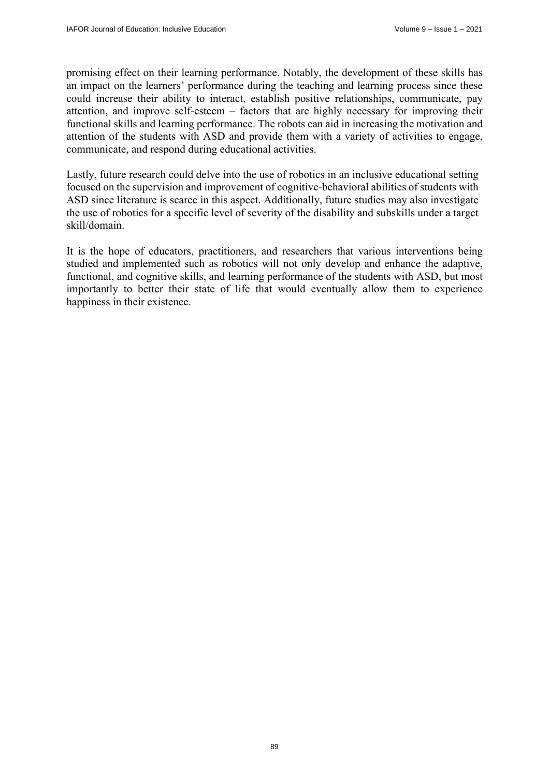promising effect on their learning performance. Notably, the development of these skills has an impact on the learners' performance during the teaching and learning process since these could increase their ability to interact, establish positive relationships, communicate, pay attention, and improve self-esteem – factors that are highly necessary for improving their functional skills and learning performance. The robots can aid in increasing the motivation and attention of the students with ASD and provide them with a variety of activities to engage, communicate, and respond during educational activities.

Lastly, future research could delve into the use of robotics in an inclusive educational setting focused on the supervision and improvement of cognitive-behavioral abilities of students with ASD since literature is scarce in this aspect. Additionally, future studies may also investigate the use of robotics for a specific level of severity of the disability and subskills under a target skill/domain.

It is the hope of educators, practitioners, and researchers that various interventions being studied and implemented such as robotics will not only develop and enhance the adaptive, functional, and cognitive skills, and learning performance of the students with ASD, but most importantly to better their state of life that would eventually allow them to experience happiness in their existence.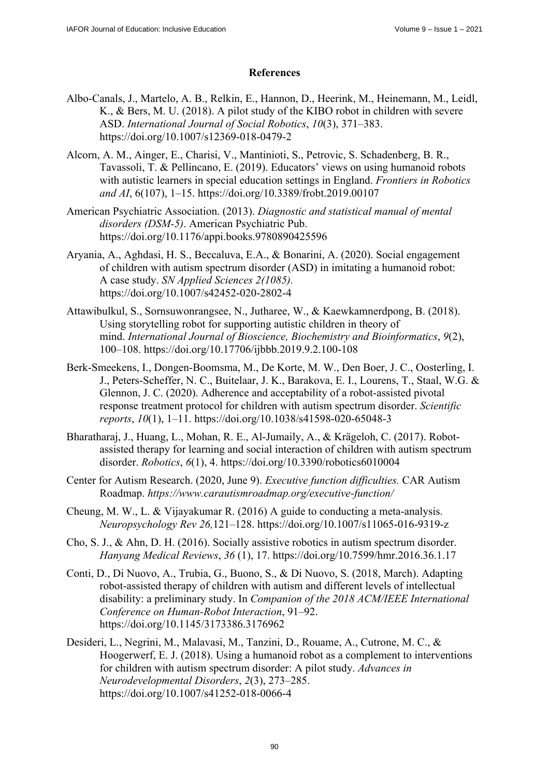## **References**

- Albo-Canals, J., Martelo, A. B., Relkin, E., Hannon, D., Heerink, M., Heinemann, M., Leidl, K., & Bers, M. U. (2018). A pilot study of the KIBO robot in children with severe ASD. *International Journal of Social Robotics*, *10*(3), 371–383. <https://doi.org/10.1007/s12369-018-0479-2>
- Alcorn, A. M., Ainger, E., Charisi, V., Mantinioti, S., Petrovic, S. Schadenberg, B. R., Tavassoli, T. & Pellincano, E. (2019). Educators' views on using humanoid robots with autistic learners in special education settings in England. *Frontiers in Robotics and AI*, 6(107), 1–15.<https://doi.org/10.3389/frobt.2019.00107>
- American Psychiatric Association. (2013). *Diagnostic and statistical manual of mental disorders (DSM-5)*. American Psychiatric Pub. <https://doi.org/10.1176/appi.books.9780890425596>
- Aryania, A., Aghdasi, H. S., Beccaluva, E.A., & Bonarini, A. (2020). Social engagement of children with autism spectrum disorder (ASD) in imitating a humanoid robot: A case study. *SN Applied Sciences 2(1085).*  <https://doi.org/10.1007/s42452-020-2802-4>
- Attawibulkul, S., Sornsuwonrangsee, N., Jutharee, W., & Kaewkamnerdpong, B. (2018). Using storytelling robot for supporting autistic children in theory of mind. *International Journal of Bioscience, Biochemistry and Bioinformatics*, *9*(2), 100–108. <https://doi.org/10.17706/ijbbb.2019.9.2.100-108>
- Berk-Smeekens, I., Dongen-Boomsma, M., De Korte, M. W., Den Boer, J. C., Oosterling, I. J., Peters-Scheffer, N. C., Buitelaar, J. K., Barakova, E. I., Lourens, T., Staal, W.G. & Glennon, J. C. (2020). Adherence and acceptability of a robot-assisted pivotal response treatment protocol for children with autism spectrum disorder. *Scientific reports*, *10*(1), 1–11. <https://doi.org/10.1038/s41598-020-65048-3>
- Bharatharaj, J., Huang, L., Mohan, R. E., Al-Jumaily, A., & Krägeloh, C. (2017). Robotassisted therapy for learning and social interaction of children with autism spectrum disorder. *Robotics*, *6*(1), 4.<https://doi.org/10.3390/robotics6010004>
- Center for Autism Research. (2020, June 9). *Executive function difficulties.* CAR Autism Roadmap. *<https://www.carautismroadmap.org/executive-function/>*
- Cheung, M. W., L. & Vijayakumar R. (2016) A guide to conducting a meta-analysis. *Neuropsychology Rev 26,*121–128. <https://doi.org/10.1007/s11065-016-9319-z>
- Cho, S. J., & Ahn, D. H. (2016). Socially assistive robotics in autism spectrum disorder. *Hanyang Medical Reviews*, *36* (1), 17. <https://doi.org/10.7599/hmr.2016.36.1.17>
- Conti, D., Di Nuovo, A., Trubia, G., Buono, S., & Di Nuovo, S. (2018, March). Adapting robot-assisted therapy of children with autism and different levels of intellectual disability: a preliminary study. In *Companion of the 2018 ACM/IEEE International Conference on Human-Robot Interaction*, 91–92. <https://doi.org/10.1145/3173386.3176962>
- Desideri, L., Negrini, M., Malavasi, M., Tanzini, D., Rouame, A., Cutrone, M. C., & Hoogerwerf, E. J. (2018). Using a humanoid robot as a complement to interventions for children with autism spectrum disorder: A pilot study. *Advances in Neurodevelopmental Disorders*, *2*(3), 273–285. <https://doi.org/10.1007/s41252-018-0066-4>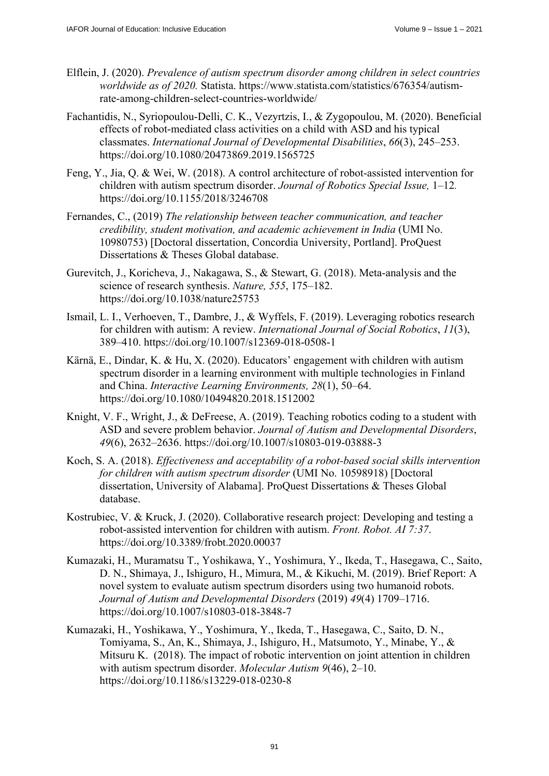- Elflein, J. (2020). *Prevalence of autism spectrum disorder among children in select countries worldwide as of 2020.* [Statista. https://www.statista.com/statistics/676354/autism](https://www.statista.com/statistics/676354/autism-rate-among-children-select-countries-worldwide/)rate-[among-children-select-countries-worldwide/](https://www.statista.com/statistics/676354/autism-rate-among-children-select-countries-worldwide/)
- Fachantidis, N., Syriopoulou-Delli, C. K., Vezyrtzis, I., & Zygopoulou, M. (2020). Beneficial effects of robot-mediated class activities on a child with ASD and his typical classmates. *International Journal of Developmental Disabilities*, *66*(3), 245–253. <https://doi.org/10.1080/20473869.2019.1565725>
- Feng, Y., Jia, Q. & Wei, W. (2018). A control architecture of robot-assisted intervention for children with autism spectrum disorder. *Journal of Robotics Special Issue,* 1–12*.* <https://doi.org/10.1155/2018/3246708>
- Fernandes, C., (2019) *The relationship between teacher communication, and teacher credibility, student motivation, and academic achievement in India* (UMI No. 10980753) [Doctoral dissertation, Concordia University, Portland]. ProQuest Dissertations & Theses Global database.
- Gurevitch, J., Koricheva, J., Nakagawa, S., & Stewart, G. (2018). Meta-analysis and the science of research synthesis. *Nature, 555*, 175–182. <https://doi.org/10.1038/nature25753>
- Ismail, L. I., Verhoeven, T., Dambre, J., & Wyffels, F. (2019). Leveraging robotics research for children with autism: A review. *International Journal of Social Robotics*, *11*(3), 389–410. <https://doi.org/10.1007/s12369-018-0508-1>
- Kärnä, E., Dindar, K. & Hu, X. (2020). Educators' engagement with children with autism spectrum disorder in a learning environment with multiple technologies in Finland and China. *Interactive Learning Environments, 28*(1), 50–64. <https://doi.org/10.1080/10494820.2018.1512002>
- Knight, V. F., Wright, J., & DeFreese, A. (2019). Teaching robotics coding to a student with ASD and severe problem behavior. *Journal of Autism and Developmental Disorders*, *49*(6), 2632–2636. <https://doi.org/10.1007/s10803-019-03888-3>
- Koch, S. A. (2018). *Effectiveness and acceptability of a robot-based social skills intervention for children with autism spectrum disorder* (UMI No. 10598918) [Doctoral dissertation, University of Alabama]. ProQuest Dissertations & Theses Global database.
- Kostrubiec, V. & Kruck, J. (2020). Collaborative research project: Developing and testing a robot-assisted intervention for children with autism. *Front. Robot. AI 7:37*. <https://doi.org/10.3389/frobt.2020.00037>
- Kumazaki, H., Muramatsu T., Yoshikawa, Y., Yoshimura, Y., Ikeda, T., Hasegawa, C., Saito, D. N., Shimaya, J., Ishiguro, H., Mimura, M., & Kikuchi, M. (2019). Brief Report: A novel system to evaluate autism spectrum disorders using two humanoid robots. *Journal of Autism and Developmental Disorders* (2019) *49*(4) 1709–1716. <https://doi.org/10.1007/s10803-018-3848-7>
- Kumazaki, H., Yoshikawa, Y., Yoshimura, Y., Ikeda, T., Hasegawa, C., Saito, D. N., Tomiyama, S., An, K., Shimaya, J., Ishiguro, H., Matsumoto, Y., Minabe, Y., & Mitsuru K. (2018). The impact of robotic intervention on joint attention in children with autism spectrum disorder. *Molecular Autism 9*(46), 2–10. <https://doi.org/10.1186/s13229-018-0230-8>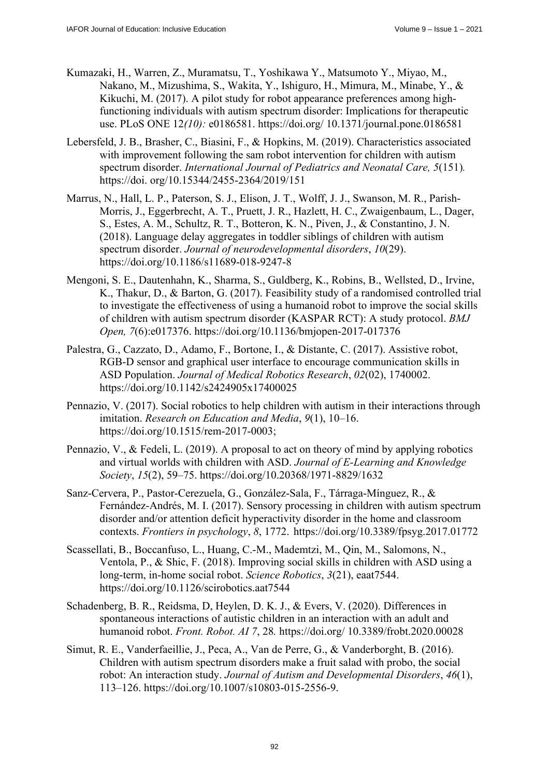- Kumazaki, H., Warren, Z., Muramatsu, T., Yoshikawa Y., Matsumoto Y., Miyao, M., Nakano, M., Mizushima, S., Wakita, Y., Ishiguro, H., Mimura, M., Minabe, Y., & Kikuchi, M. (2017). A pilot study for robot appearance preferences among highfunctioning individuals with autism spectrum disorder: Implications for therapeutic use. PLoS ONE 12*(10):* e0186581. [https://doi.org/ 10](https://doi.org/).1371/journal.pone.0186581
- Lebersfeld, J. B., Brasher, C., Biasini, F., & Hopkins, M. (2019). Characteristics associated with improvement following the sam robot intervention for children with autism spectrum disorder. *International Journal of Pediatrics and Neonatal Care, 5*(151)*.* [https://doi. or](https://doi)g/10.15344/2455-2364/2019/151
- Marrus, N., Hall, L. P., Paterson, S. J., Elison, J. T., Wolff, J. J., Swanson, M. R., Parish-Morris, J., Eggerbrecht, A. T., Pruett, J. R., Hazlett, H. C., Zwaigenbaum, L., Dager, S., Estes, A. M., Schultz, R. T., Botteron, K. N., Piven, J., & Constantino, J. N. (2018). Language delay aggregates in toddler siblings of children with autism spectrum disorder. *Journal of neurodevelopmental disorders*, *10*(29). <https://doi.org/10.1186/s11689-018-9247-8>
- Mengoni, S. E., Dautenhahn, K., Sharma, S., Guldberg, K., Robins, B., Wellsted, D., Irvine, K., Thakur, D., & Barton, G. (2017). Feasibility study of a randomised controlled trial to investigate the effectiveness of using a humanoid robot to improve the social skills of children with autism spectrum disorder (KASPAR RCT): A study protocol. *BMJ Open, 7*(6):e017376. <https://doi.org/10.1136/bmjopen-2017-017376>
- Palestra, G., Cazzato, D., Adamo, F., Bortone, I., & Distante, C. (2017). Assistive robot, RGB-D sensor and graphical user interface to encourage communication skills in ASD Population. *Journal of Medical Robotics Research*, *02*(02), 1740002. <https://doi.org/10.1142/s2424905x17400025>
- Pennazio, V. (2017). Social robotics to help children with autism in their interactions through imitation. *Research on Education and Media*, *9*(1), 10–16. [https://doi.org/10.1515/rem-2017-0003;](https://doi.org/10.1515/rem-2017-0003)
- Pennazio, V., & Fedeli, L. (2019). A proposal to act on theory of mind by applying robotics and virtual worlds with children with ASD. *Journal of E-Learning and Knowledge Society*, *15*(2), 59–75. <https://doi.org/10.20368/1971-8829/1632>
- Sanz-Cervera, P., Pastor-Cerezuela, G., González-Sala, F., Tárraga-Mínguez, R., & Fernández-Andrés, M. I. (2017). Sensory processing in children with autism spectrum disorder and/or attention deficit hyperactivity disorder in the home and classroom contexts. *Frontiers in psychology*, *8*, 1772. <https://doi.org/10.3389/fpsyg.2017.01772>
- Scassellati, B., Boccanfuso, L., Huang, C.-M., Mademtzi, M., Qin, M., Salomons, N., Ventola, P., & Shic, F. (2018). Improving social skills in children with ASD using a long-term, in-home social robot. *Science Robotics*, *3*(21), eaat7544. <https://doi.org/10.1126/scirobotics.aat7544>
- Schadenberg, B. R., Reidsma, D, Heylen, D. K. J., & Evers, V. (2020). Differences in spontaneous interactions of autistic children in an interaction with an adult and humanoid robot. *Front. Robot. AI 7*, 28*.* [https://doi.org/ 10](https://doi.org/).3389/frobt.2020.00028
- Simut, R. E., Vanderfaeillie, J., Peca, A., Van de Perre, G., & Vanderborght, B. (2016). Children with autism spectrum disorders make a fruit salad with probo, the social robot: An interaction study. *Journal of Autism and Developmental Disorders*, *46*(1), 113–126. [https://doi.org/10.1007/s10803-015-2556-9.](https://doi.org/10.1007/s10803-015-2556-9)